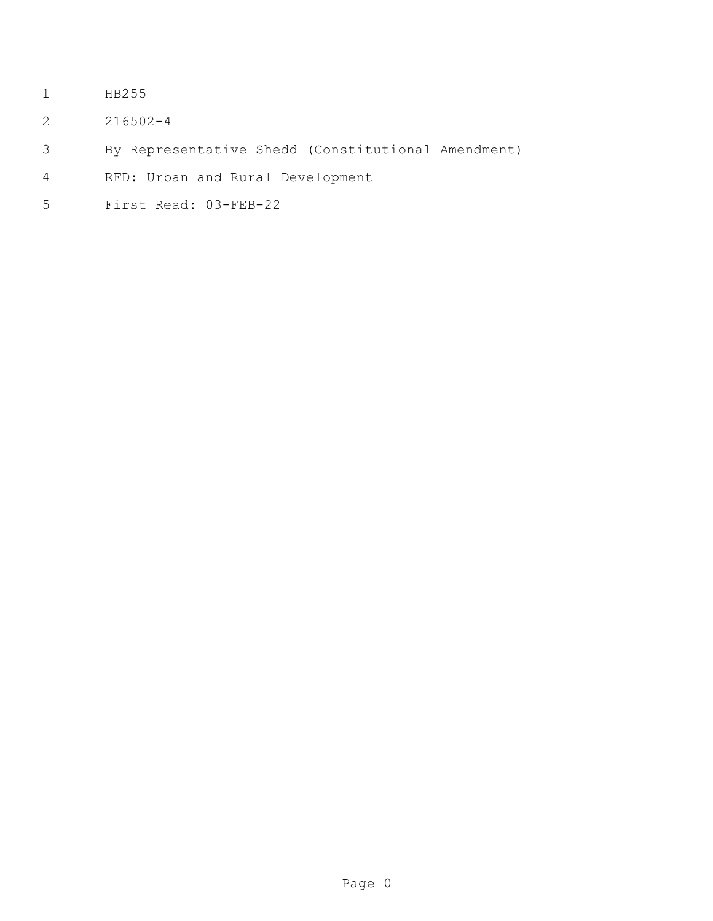- HB255
- 216502-4
- By Representative Shedd (Constitutional Amendment)
- RFD: Urban and Rural Development
- First Read: 03-FEB-22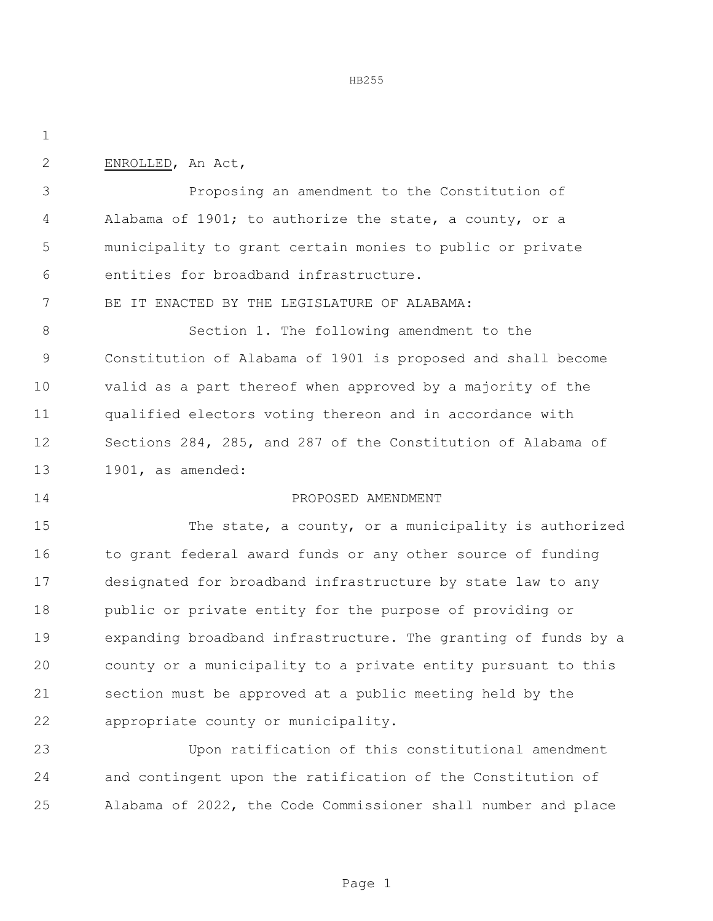HB255

ENROLLED, An Act,

 Proposing an amendment to the Constitution of Alabama of 1901; to authorize the state, a county, or a municipality to grant certain monies to public or private entities for broadband infrastructure.

BE IT ENACTED BY THE LEGISLATURE OF ALABAMA:

 Section 1. The following amendment to the Constitution of Alabama of 1901 is proposed and shall become valid as a part thereof when approved by a majority of the qualified electors voting thereon and in accordance with Sections 284, 285, and 287 of the Constitution of Alabama of 1901, as amended:

## PROPOSED AMENDMENT

 The state, a county, or a municipality is authorized 16 to grant federal award funds or any other source of funding designated for broadband infrastructure by state law to any public or private entity for the purpose of providing or expanding broadband infrastructure. The granting of funds by a county or a municipality to a private entity pursuant to this section must be approved at a public meeting held by the appropriate county or municipality.

 Upon ratification of this constitutional amendment and contingent upon the ratification of the Constitution of Alabama of 2022, the Code Commissioner shall number and place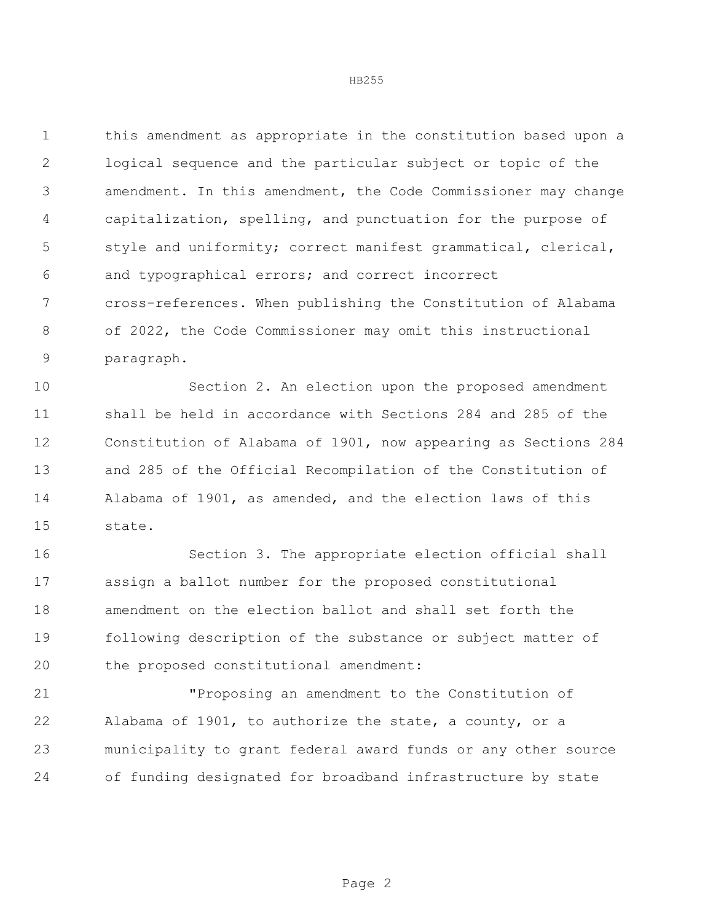this amendment as appropriate in the constitution based upon a logical sequence and the particular subject or topic of the amendment. In this amendment, the Code Commissioner may change capitalization, spelling, and punctuation for the purpose of style and uniformity; correct manifest grammatical, clerical, and typographical errors; and correct incorrect cross-references. When publishing the Constitution of Alabama of 2022, the Code Commissioner may omit this instructional paragraph.

 Section 2. An election upon the proposed amendment shall be held in accordance with Sections 284 and 285 of the Constitution of Alabama of 1901, now appearing as Sections 284 and 285 of the Official Recompilation of the Constitution of Alabama of 1901, as amended, and the election laws of this state.

 Section 3. The appropriate election official shall assign a ballot number for the proposed constitutional amendment on the election ballot and shall set forth the following description of the substance or subject matter of the proposed constitutional amendment:

 "Proposing an amendment to the Constitution of Alabama of 1901, to authorize the state, a county, or a municipality to grant federal award funds or any other source of funding designated for broadband infrastructure by state

$$
\tt HB255
$$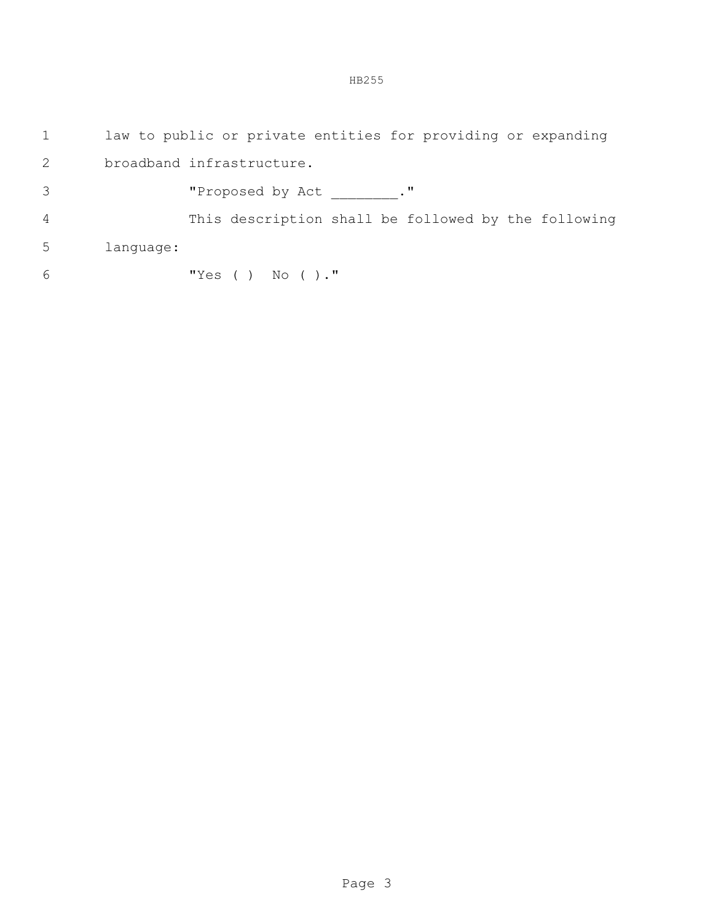HB255

|                |           | law to public or private entities for providing or expanding |
|----------------|-----------|--------------------------------------------------------------|
| 2              |           | broadband infrastructure.                                    |
| 3              |           | "Proposed by Act ."                                          |
| $\overline{4}$ |           | This description shall be followed by the following          |
| 5              | language: |                                                              |
| 6              |           | "Yes ( ) No ( )."                                            |